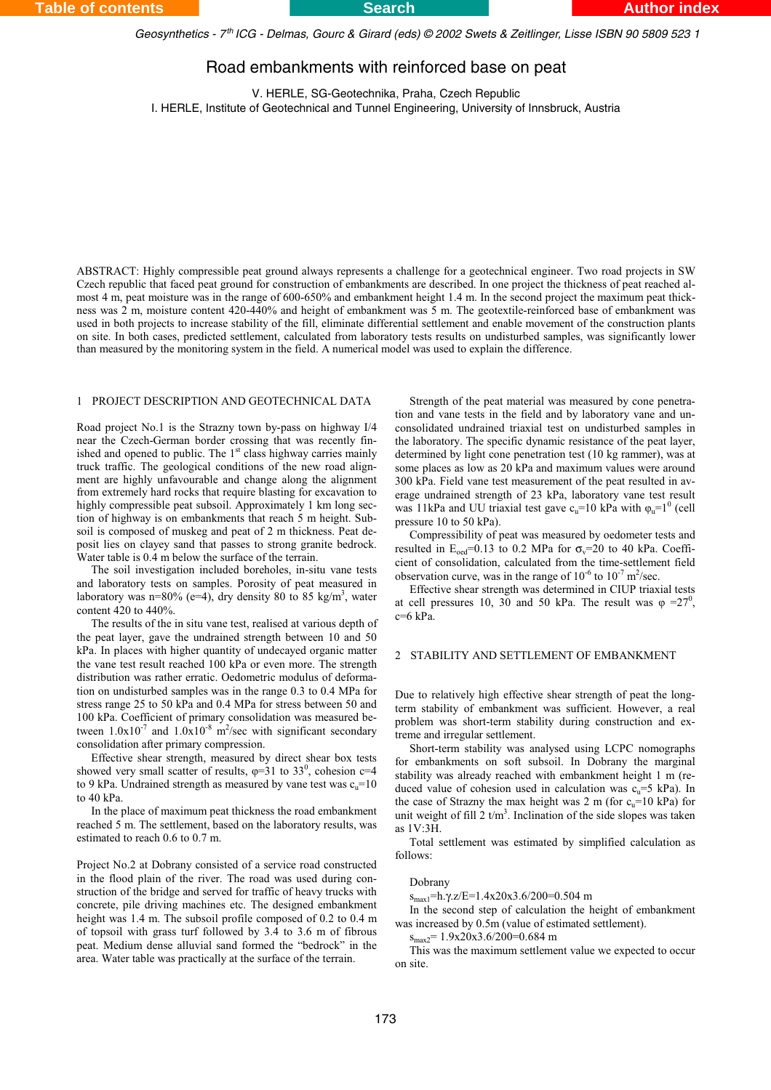*Geosynthetics - 7 ICG - Delmas, Gourc & Girard (eds) © 2002 Swets & Zeitlinger, Lisse ISBN 90 5809 523 1 th*

# Road embankments with reinforced base on peat

V. HERLE, SG-Geotechnika, Praha, Czech Republic I. HERLE, Institute of Geotechnical and Tunnel Engineering, University of Innsbruck, Austria

ABSTRACT: Highly compressible peat ground always represents a challenge for a geotechnical engineer. Two road projects in SW Czech republic that faced peat ground for construction of embankments are described. In one project the thickness of peat reached almost 4 m, peat moisture was in the range of 600-650% and embankment height 1.4 m. In the second project the maximum peat thickness was 2 m, moisture content 420-440% and height of embankment was 5 m. The geotextile-reinforced base of embankment was used in both projects to increase stability of the fill, eliminate differential settlement and enable movement of the construction plants on site. In both cases, predicted settlement, calculated from laboratory tests results on undisturbed samples, was significantly lower than measured by the monitoring system in the field. A numerical model was used to explain the difference.

### 1 PROJECT DESCRIPTION AND GEOTECHNICAL DATA

Road project No.1 is the Strazny town by-pass on highway I/4 near the Czech-German border crossing that was recently finished and opened to public. The  $1<sup>st</sup>$  class highway carries mainly truck traffic. The geological conditions of the new road alignment are highly unfavourable and change along the alignment from extremely hard rocks that require blasting for excavation to highly compressible peat subsoil. Approximately 1 km long section of highway is on embankments that reach 5 m height. Subsoil is composed of muskeg and peat of 2 m thickness. Peat deposit lies on clayey sand that passes to strong granite bedrock. Water table is 0.4 m below the surface of the terrain.

The soil investigation included boreholes, in-situ vane tests and laboratory tests on samples. Porosity of peat measured in laboratory was n=80% (e=4), dry density 80 to 85 kg/m<sup>3</sup>, water content 420 to 440%.

The results of the in situ vane test, realised at various depth of the peat layer, gave the undrained strength between 10 and 50 kPa. In places with higher quantity of undecayed organic matter the vane test result reached 100 kPa or even more. The strength distribution was rather erratic. Oedometric modulus of deformation on undisturbed samples was in the range 0.3 to 0.4 MPa for stress range 25 to 50 kPa and 0.4 MPa for stress between 50 and 100 kPa. Coefficient of primary consolidation was measured between  $1.0x10^{-7}$  and  $1.0x10^{-8}$  m<sup>2</sup>/sec with significant secondary consolidation after primary compression.

Effective shear strength, measured by direct shear box tests showed very small scatter of results,  $\varphi=31$  to 33<sup>0</sup>, cohesion c=4 to 9 kPa. Undrained strength as measured by vane test was  $c_n=10$ to 40 kPa.

In the place of maximum peat thickness the road embankment reached 5 m. The settlement, based on the laboratory results, was estimated to reach 0.6 to 0.7 m.

Project No.2 at Dobrany consisted of a service road constructed in the flood plain of the river. The road was used during construction of the bridge and served for traffic of heavy trucks with concrete, pile driving machines etc. The designed embankment height was 1.4 m. The subsoil profile composed of 0.2 to 0.4 m of topsoil with grass turf followed by 3.4 to 3.6 m of fibrous peat. Medium dense alluvial sand formed the "bedrock" in the area. Water table was practically at the surface of the terrain.

Strength of the peat material was measured by cone penetration and vane tests in the field and by laboratory vane and unconsolidated undrained triaxial test on undisturbed samples in the laboratory. The specific dynamic resistance of the peat layer, determined by light cone penetration test (10 kg rammer), was at some places as low as 20 kPa and maximum values were around 300 kPa. Field vane test measurement of the peat resulted in average undrained strength of 23 kPa, laboratory vane test result was 11kPa and UU triaxial test gave  $c_u=10$  kPa with  $\varphi_u=1^0$  (cell pressure 10 to 50 kPa).

Compressibility of peat was measured by oedometer tests and resulted in  $E_{\text{oed}} = 0.13$  to 0.2 MPa for  $\sigma_v = 20$  to 40 kPa. Coefficient of consolidation, calculated from the time-settlement field observation curve, was in the range of  $10^{-6}$  to  $10^{-7}$  m<sup>2</sup>/sec.

Effective shear strength was determined in CIUP triaxial tests at cell pressures 10, 30 and 50 kPa. The result was  $\varphi = 27^0$ ,  $c=6$  kPa.

#### 2 STABILITY AND SETTLEMENT OF EMBANKMENT

Due to relatively high effective shear strength of peat the longterm stability of embankment was sufficient. However, a real problem was short-term stability during construction and extreme and irregular settlement.

Short-term stability was analysed using LCPC nomographs for embankments on soft subsoil. In Dobrany the marginal stability was already reached with embankment height 1 m (reduced value of cohesion used in calculation was  $c_n = 5$  kPa). In the case of Strazny the max height was 2 m (for  $c_n=10$  kPa) for unit weight of fill  $2 t/m<sup>3</sup>$ . Inclination of the side slopes was taken as 1V:3H.

Total settlement was estimated by simplified calculation as follows:

#### Dobrany

smax1=h.γ.z/E=1.4x20x3.6/200=0.504 m

In the second step of calculation the height of embankment was increased by 0.5m (value of estimated settlement).

 $s_{\text{max}}$ <sup>=</sup> 1.9x20x3.6/200=0.684 m

This was the maximum settlement value we expected to occur on site.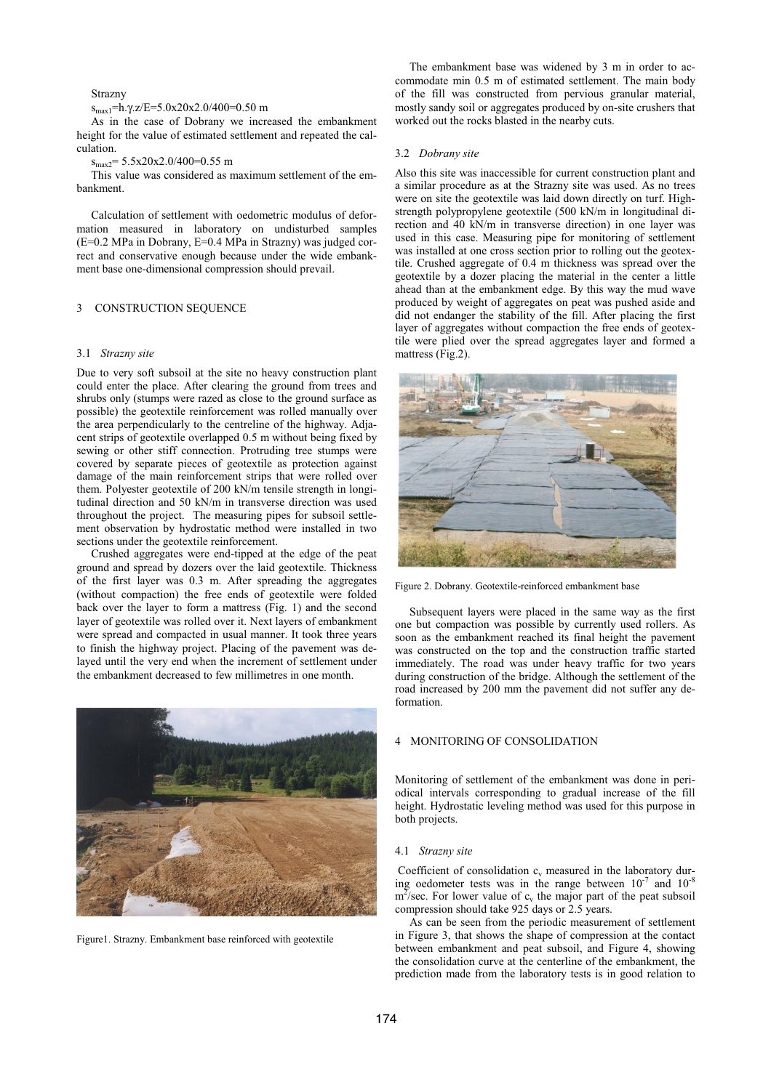### Strazny

### $s_{max1}$ =h.γ.z/E=5.0x20x2.0/400=0.50 m

As in the case of Dobrany we increased the embankment height for the value of estimated settlement and repeated the calculation.

# smax2= 5.5x20x2.0/400=0.55 m

This value was considered as maximum settlement of the embankment.

Calculation of settlement with oedometric modulus of deformation measured in laboratory on undisturbed samples (E=0.2 MPa in Dobrany, E=0.4 MPa in Strazny) was judged correct and conservative enough because under the wide embankment base one-dimensional compression should prevail.

### 3 CONSTRUCTION SEQUENCE

#### 3.1 *Strazny site*

Due to very soft subsoil at the site no heavy construction plant could enter the place. After clearing the ground from trees and shrubs only (stumps were razed as close to the ground surface as possible) the geotextile reinforcement was rolled manually over the area perpendicularly to the centreline of the highway. Adjacent strips of geotextile overlapped 0.5 m without being fixed by sewing or other stiff connection. Protruding tree stumps were covered by separate pieces of geotextile as protection against damage of the main reinforcement strips that were rolled over them. Polyester geotextile of 200 kN/m tensile strength in longitudinal direction and 50 kN/m in transverse direction was used throughout the project. The measuring pipes for subsoil settlement observation by hydrostatic method were installed in two sections under the geotextile reinforcement.

Crushed aggregates were end-tipped at the edge of the peat ground and spread by dozers over the laid geotextile. Thickness of the first layer was 0.3 m. After spreading the aggregates (without compaction) the free ends of geotextile were folded back over the layer to form a mattress (Fig. 1) and the second layer of geotextile was rolled over it. Next layers of embankment were spread and compacted in usual manner. It took three years to finish the highway project. Placing of the pavement was delayed until the very end when the increment of settlement under the embankment decreased to few millimetres in one month.



Figure1. Strazny. Embankment base reinforced with geotextile

The embankment base was widened by 3 m in order to accommodate min 0.5 m of estimated settlement. The main body of the fill was constructed from pervious granular material, mostly sandy soil or aggregates produced by on-site crushers that worked out the rocks blasted in the nearby cuts.

### 3.2 *Dobrany site*

Also this site was inaccessible for current construction plant and a similar procedure as at the Strazny site was used. As no trees were on site the geotextile was laid down directly on turf. Highstrength polypropylene geotextile (500 kN/m in longitudinal direction and 40 kN/m in transverse direction) in one layer was used in this case. Measuring pipe for monitoring of settlement was installed at one cross section prior to rolling out the geotextile. Crushed aggregate of 0.4 m thickness was spread over the geotextile by a dozer placing the material in the center a little ahead than at the embankment edge. By this way the mud wave produced by weight of aggregates on peat was pushed aside and did not endanger the stability of the fill. After placing the first layer of aggregates without compaction the free ends of geotextile were plied over the spread aggregates layer and formed a mattress (Fig.2).



Figure 2. Dobrany. Geotextile-reinforced embankment base

Subsequent layers were placed in the same way as the first one but compaction was possible by currently used rollers. As soon as the embankment reached its final height the pavement was constructed on the top and the construction traffic started immediately. The road was under heavy traffic for two years during construction of the bridge. Although the settlement of the road increased by 200 mm the pavement did not suffer any deformation.

### 4 MONITORING OF CONSOLIDATION

Monitoring of settlement of the embankment was done in periodical intervals corresponding to gradual increase of the fill height. Hydrostatic leveling method was used for this purpose in both projects.

#### 4.1 *Strazny site*

Coefficient of consolidation  $c_v$  measured in the laboratory during oedometer tests was in the range between  $10^{-7}$  and  $10^{-8}$  $m^2$ /sec. For lower value of c<sub>v</sub> the major part of the peat subsoil compression should take 925 days or 2.5 years.

As can be seen from the periodic measurement of settlement in Figure 3, that shows the shape of compression at the contact between embankment and peat subsoil, and Figure 4, showing the consolidation curve at the centerline of the embankment, the prediction made from the laboratory tests is in good relation to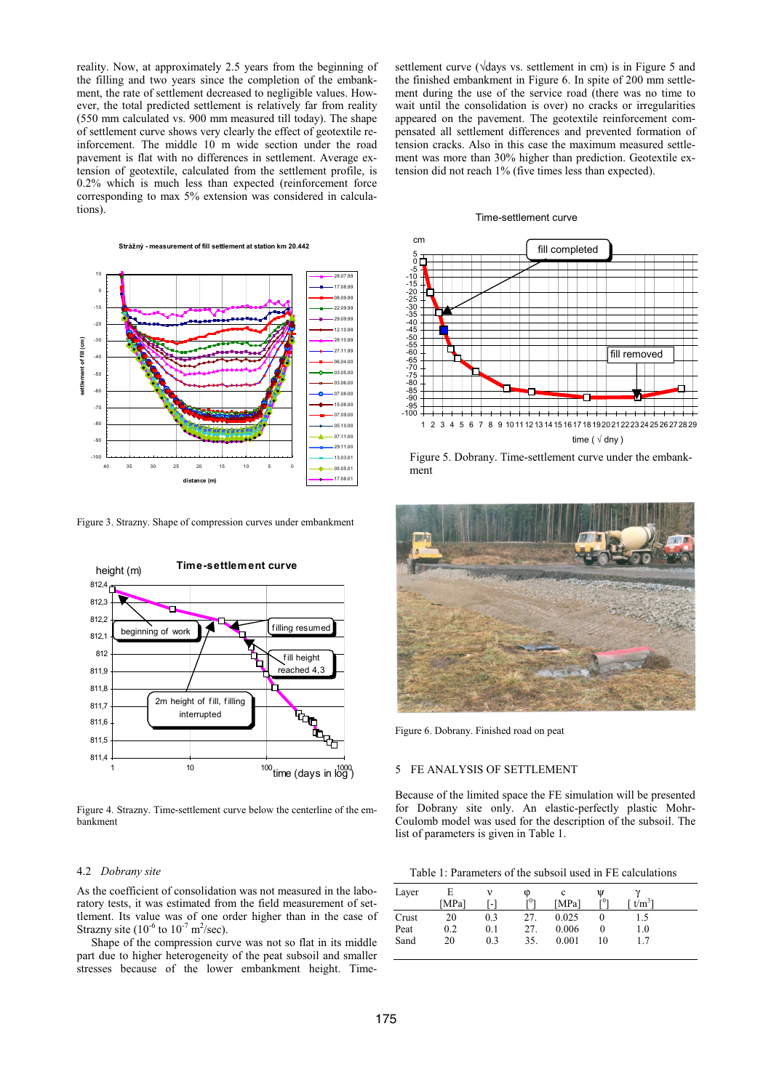reality. Now, at approximately 2.5 years from the beginning of the filling and two years since the completion of the embankment, the rate of settlement decreased to negligible values. However, the total predicted settlement is relatively far from reality (550 mm calculated vs. 900 mm measured till today). The shape of settlement curve shows very clearly the effect of geotextile reinforcement. The middle 10 m wide section under the road pavement is flat with no differences in settlement. Average extension of geotextile, calculated from the settlement profile, is 0.2% which is much less than expected (reinforcement force corresponding to max 5% extension was considered in calculations).



Figure 3. Strazny. Shape of compression curves under embankment



Figure 4. Strazny. Time-settlement curve below the centerline of the embankment

## 4.2 *Dobrany site*

As the coefficient of consolidation was not measured in the laboratory tests, it was estimated from the field measurement of settlement. Its value was of one order higher than in the case of Strazny site  $(10^{-6}$  to  $10^{-7}$  m<sup>2</sup>/sec).

Shape of the compression curve was not so flat in its middle part due to higher heterogeneity of the peat subsoil and smaller stresses because of the lower embankment height. Timesettlement curve ( $\sqrt{days}$  vs. settlement in cm) is in Figure 5 and the finished embankment in Figure 6. In spite of 200 mm settlement during the use of the service road (there was no time to wait until the consolidation is over) no cracks or irregularities appeared on the pavement. The geotextile reinforcement compensated all settlement differences and prevented formation of tension cracks. Also in this case the maximum measured settlement was more than 30% higher than prediction. Geotextile extension did not reach 1% (five times less than expected).

### Time-settlement curve



Figure 5. Dobrany. Time-settlement curve under the embankment



Figure 6. Dobrany. Finished road on peat

#### 5 FE ANALYSIS OF SETTLEMENT

Because of the limited space the FE simulation will be presented for Dobrany site only. An elastic-perfectly plastic Mohr-Coulomb model was used for the description of the subsoil. The list of parameters is given in Table 1.

Table 1: Parameters of the subsoil used in FE calculations

| Layer |       |                | Φ   |       | W   |                  |
|-------|-------|----------------|-----|-------|-----|------------------|
|       | [MPa] | $\blacksquare$ | г٥٦ | [MPa] | г∪า | t/m <sup>3</sup> |
| Crust | 20    | 0.3            | 27. | 0.025 |     |                  |
| Peat  | 0.2   | 0.1            | 27. | 0.006 |     | 1.0              |
| Sand  | 20    | 0.3            | 35. | 0.001 | 10  |                  |
|       |       |                |     |       |     |                  |